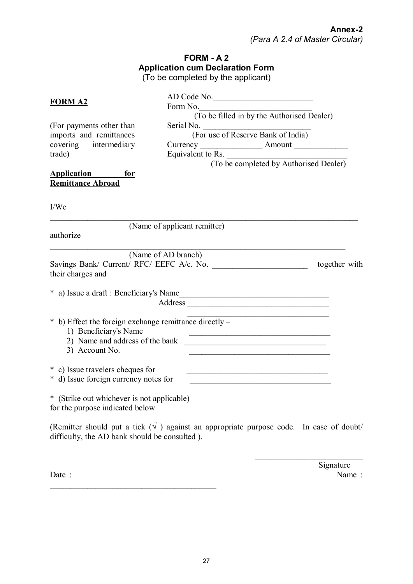## **FORM - A 2 Application cum Declaration Form** (To be completed by the applicant)

| <b>FORM A2</b>                                                                                    | AD Code No.<br>Form No.<br>(To be filled in by the Authorised Dealer)                                                                                                               |  |
|---------------------------------------------------------------------------------------------------|-------------------------------------------------------------------------------------------------------------------------------------------------------------------------------------|--|
| (For payments other than<br>imports and remittances<br>covering intermediary<br>trade)            | Serial No. (For use of Reserve Bank of India)<br>Currency<br>Equivalent to Rs. (To be completed by Authorised Dealer)                                                               |  |
| Application for<br><b>Remittance Abroad</b><br>I/We                                               |                                                                                                                                                                                     |  |
| authorize                                                                                         | (Name of applicant remitter)                                                                                                                                                        |  |
| their charges and                                                                                 | (Name of AD branch)<br>Savings Bank/ Current/ RFC/ EEFC A/c. No.<br>together with                                                                                                   |  |
|                                                                                                   | * a) Issue a draft : Beneficiary's Name                                                                                                                                             |  |
| * b) Effect the foreign exchange remittance directly –<br>1) Beneficiary's Name<br>3) Account No. | <u> 1989 - Johann John Stone, mars et al. 1989 - John Stone, mars et al. 1989 - John Stone, mars et al. 1989 - John Stone</u><br><u> 1989 - Johann John Stein, fransk politik (</u> |  |
| * c) Issue travelers cheques for<br>* d) Issue foreign currency notes for                         | <u> 1989 - Johann Harry Harry Harry Harry Harry Harry Harry Harry Harry Harry Harry Harry Harry Harry Harry Harry</u>                                                               |  |
| <b>ルーズペン サイト・コーヒー オー・エー・エー・エー・エー・エー イー・エー・エー</b>                                                  |                                                                                                                                                                                     |  |

\* (Strike out whichever is not applicable) for the purpose indicated below

(Remitter should put a tick  $(\sqrt{})$ ) against an appropriate purpose code. In case of doubt/ difficulty, the AD bank should be consulted ).

Date : Name :  $\mathcal{L}_\text{max}$  , and the contract of the contract of the contract of the contract of the contract of the contract of the contract of the contract of the contract of the contract of the contract of the contract of the contr

**Signature** 

\_\_\_\_\_\_\_\_\_\_\_\_\_\_\_\_\_\_\_\_\_\_\_\_\_\_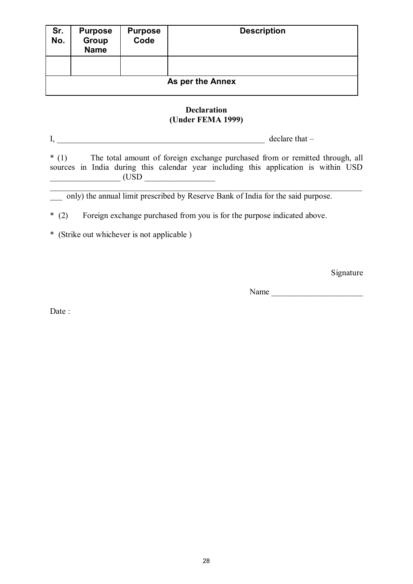| Sr.<br>No.       | <b>Purpose</b><br>Group<br><b>Name</b> | <b>Purpose</b><br>Code | <b>Description</b> |  |
|------------------|----------------------------------------|------------------------|--------------------|--|
|                  |                                        |                        |                    |  |
| As per the Annex |                                        |                        |                    |  |

## **Declaration (Under FEMA 1999)**

I, declare that –

\* (1) The total amount of foreign exchange purchased from or remitted through, all sources in India during this calendar year including this application is within USD  $\begin{array}{ccc}\n \begin{array}{ccc}\n \begin{array}{ccc}\n \text{USD}\n \end{array}\n \end{array}$ 

 $\_$  , and the set of the set of the set of the set of the set of the set of the set of the set of the set of the set of the set of the set of the set of the set of the set of the set of the set of the set of the set of th

\_\_\_ only) the annual limit prescribed by Reserve Bank of India for the said purpose.

\* (2) Foreign exchange purchased from you is for the purpose indicated above.

\* (Strike out whichever is not applicable )

Signature

Name  $\Box$ 

Date: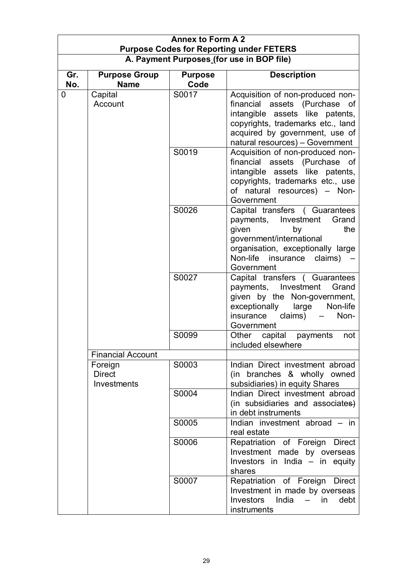| <b>Annex to Form A 2</b><br><b>Purpose Codes for Reporting under FETERS</b> |                                                                     |                                                                                                                                                                                                                |                                                                                                                                                                                                       |  |
|-----------------------------------------------------------------------------|---------------------------------------------------------------------|----------------------------------------------------------------------------------------------------------------------------------------------------------------------------------------------------------------|-------------------------------------------------------------------------------------------------------------------------------------------------------------------------------------------------------|--|
|                                                                             | A. Payment Purposes (for use in BOP file)                           |                                                                                                                                                                                                                |                                                                                                                                                                                                       |  |
| Gr.<br>No.                                                                  | <b>Purpose Group</b><br><b>Name</b>                                 | <b>Purpose</b><br>Code                                                                                                                                                                                         | <b>Description</b>                                                                                                                                                                                    |  |
| Capital<br>0<br>Account                                                     | S0017                                                               | Acquisition of non-produced non-<br>financial assets (Purchase of<br>intangible assets like patents,<br>copyrights, trademarks etc., land<br>acquired by government, use of<br>natural resources) - Government |                                                                                                                                                                                                       |  |
|                                                                             |                                                                     | S0019                                                                                                                                                                                                          | Acquisition of non-produced non-<br>financial assets (Purchase of<br>intangible assets like patents,<br>copyrights, trademarks etc., use<br>of natural resources) - Non-<br>Government                |  |
|                                                                             |                                                                     | S0026                                                                                                                                                                                                          | Capital transfers ( Guarantees<br>payments, Investment<br>Grand<br>the<br>given<br>by<br>government/international<br>organisation, exceptionally large<br>Non-life insurance<br>claims)<br>Government |  |
|                                                                             |                                                                     | S0027                                                                                                                                                                                                          | Capital transfers (Guarantees<br>payments, Investment Grand<br>given by the Non-government,<br>exceptionally<br>large<br>Non-life<br>insurance<br>claims)<br>Non-<br>Government                       |  |
|                                                                             |                                                                     | S0099                                                                                                                                                                                                          | Other<br>capital<br>payments<br>not<br>included elsewhere                                                                                                                                             |  |
|                                                                             | <b>Financial Account</b><br>Foreign<br><b>Direct</b><br>Investments | S0003                                                                                                                                                                                                          | Indian Direct investment abroad<br>(in branches & wholly owned<br>subsidiaries) in equity Shares                                                                                                      |  |
|                                                                             | S0004                                                               | Indian Direct investment abroad<br>(in subsidiaries and associates)<br>in debt instruments                                                                                                                     |                                                                                                                                                                                                       |  |
|                                                                             | S0005                                                               | Indian investment abroad - in<br>real estate                                                                                                                                                                   |                                                                                                                                                                                                       |  |
|                                                                             |                                                                     | S0006                                                                                                                                                                                                          | Repatriation of Foreign Direct<br>Investment made by overseas<br>Investors in India - in equity<br>shares                                                                                             |  |
|                                                                             |                                                                     | S0007                                                                                                                                                                                                          | Repatriation of Foreign Direct<br>Investment in made by overseas<br>India<br><b>Investors</b><br>in.<br>debt<br>$\frac{1}{2}$<br>instruments                                                          |  |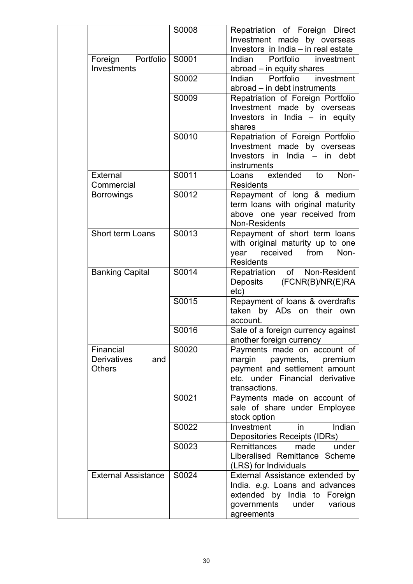|  |                                                         | S0008 | Repatriation of Foreign Direct                                                                                                                     |
|--|---------------------------------------------------------|-------|----------------------------------------------------------------------------------------------------------------------------------------------------|
|  |                                                         |       | Investment made by overseas                                                                                                                        |
|  |                                                         |       | Investors in India - in real estate                                                                                                                |
|  | Portfolio<br>Foreign<br>Investments                     | S0001 | Indian<br>Portfolio<br>investment<br>abroad - in equity shares                                                                                     |
|  |                                                         | S0002 | investment<br>Portfolio<br>Indian<br>abroad – in debt instruments                                                                                  |
|  |                                                         | S0009 | Repatriation of Foreign Portfolio<br>Investment made by overseas<br>Investors in India - in equity<br>shares                                       |
|  |                                                         | S0010 | Repatriation of Foreign Portfolio<br>Investment made by overseas<br>Investors in India $-$ in<br>debt<br>instruments                               |
|  | External<br>Commercial                                  | S0011 | Non-<br>Loans extended<br>to<br><b>Residents</b>                                                                                                   |
|  | <b>Borrowings</b>                                       | S0012 | Repayment of long & medium<br>term loans with original maturity<br>above one year received from<br>Non-Residents                                   |
|  | <b>Short term Loans</b>                                 | S0013 | Repayment of short term loans<br>with original maturity up to one<br>year received from<br>Non-<br><b>Residents</b>                                |
|  | <b>Banking Capital</b>                                  | S0014 | Repatriation of Non-Resident<br>(FCNR(B)/NR(E)RA<br>Deposits<br>etc)                                                                               |
|  |                                                         | S0015 | Repayment of loans & overdrafts<br>taken by ADs on their own<br>account.                                                                           |
|  |                                                         | S0016 | Sale of a foreign currency against<br>another foreign currency                                                                                     |
|  | Financial<br><b>Derivatives</b><br>and<br><b>Others</b> | S0020 | Payments made on account of<br>margin<br>payments, premium<br>payment and settlement amount<br>etc. under Financial derivative<br>transactions.    |
|  |                                                         | S0021 | Payments made on account of<br>sale of share under Employee<br>stock option                                                                        |
|  |                                                         | S0022 | Indian<br>Investment<br>in<br>Depositories Receipts (IDRs)                                                                                         |
|  |                                                         | S0023 | <b>Remittances</b><br>under<br>made<br>Liberalised Remittance Scheme<br>(LRS) for Individuals                                                      |
|  | <b>External Assistance</b>                              | S0024 | External Assistance extended by<br>India. e.g. Loans and advances<br>extended by India to Foreign<br>governments<br>under<br>various<br>agreements |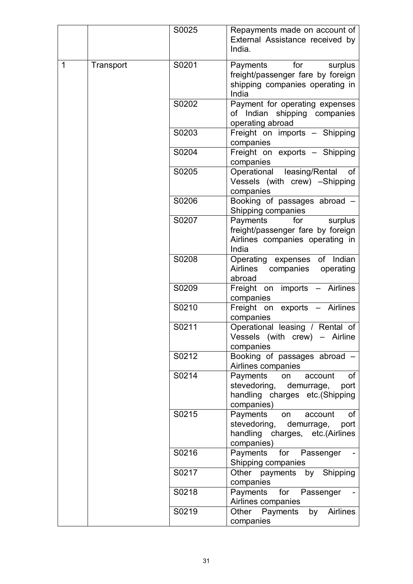|              |           | S0025 | Repayments made on account of<br>External Assistance received by<br>India.                                         |
|--------------|-----------|-------|--------------------------------------------------------------------------------------------------------------------|
| $\mathbf{1}$ | Transport | S0201 | Payments for<br>surplus<br>freight/passenger fare by foreign<br>shipping companies operating in<br>India           |
|              |           | S0202 | Payment for operating expenses<br>of Indian shipping companies<br>operating abroad                                 |
|              |           | S0203 | Freight on imports - Shipping<br>companies                                                                         |
|              |           | S0204 | Freight on exports - Shipping<br>companies                                                                         |
|              |           | S0205 | Operational leasing/Rental<br>οf<br>Vessels (with crew) -Shipping<br>companies                                     |
|              |           | S0206 | Booking of passages abroad -<br>Shipping companies                                                                 |
|              |           | S0207 | for<br>Payments<br>surplus<br>freight/passenger fare by foreign<br>Airlines companies operating in<br>India        |
|              |           | S0208 | Operating expenses of Indian<br>Airlines<br>companies operating<br>abroad                                          |
|              |           | S0209 | Freight on imports<br>- Airlines<br>companies                                                                      |
|              |           | S0210 | Freight on exports - Airlines<br>companies                                                                         |
|              |           | S0211 | Operational leasing / Rental of<br>Vessels (with crew) - Airline<br>companies                                      |
|              |           | S0212 | Booking of passages abroad -<br>Airlines companies                                                                 |
|              |           | S0214 | Payments<br>account<br>0f<br>on<br>stevedoring, demurrage,<br>port<br>handling charges etc.(Shipping<br>companies) |
|              |           | S0215 | Payments on account<br>0f<br>stevedoring, demurrage,<br>port<br>handling charges, etc.(Airlines<br>companies)      |
|              |           | S0216 | Payments for Passenger<br>Shipping companies                                                                       |
|              |           | S0217 | Other payments by Shipping<br>companies                                                                            |
|              |           | S0218 | for Passenger<br>Payments<br>Airlines companies                                                                    |
|              |           | S0219 | <b>Airlines</b><br>Other<br>Payments by<br>companies                                                               |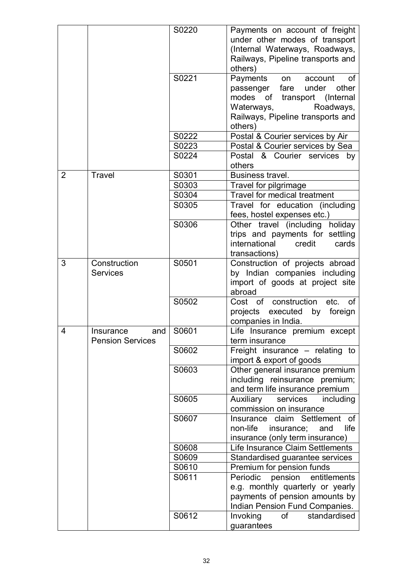|   |                         | S0220 | Payments on account of freight        |
|---|-------------------------|-------|---------------------------------------|
|   |                         |       | under other modes of transport        |
|   |                         |       | (Internal Waterways, Roadways,        |
|   |                         |       | Railways, Pipeline transports and     |
|   |                         |       | others)                               |
|   |                         | S0221 | Payments<br>account<br>0f<br>on       |
|   |                         |       | other<br>fare<br>under<br>passenger   |
|   |                         |       | modes of transport (Internal          |
|   |                         |       | Waterways,<br>Roadways,               |
|   |                         |       | Railways, Pipeline transports and     |
|   |                         |       | others)                               |
|   |                         | S0222 | Postal & Courier services by Air      |
|   |                         | S0223 | Postal & Courier services by Sea      |
|   |                         | S0224 | Postal & Courier services by          |
|   |                         |       | others                                |
| 2 | Travel                  | S0301 | Business travel.                      |
|   |                         | S0303 | Travel for pilgrimage                 |
|   |                         | S0304 | Travel for medical treatment          |
|   |                         | S0305 | Travel for education (including       |
|   |                         |       | fees, hostel expenses etc.)           |
|   |                         | S0306 | Other travel (including holiday       |
|   |                         |       | trips and payments for settling       |
|   |                         |       | international<br>credit<br>cards      |
|   |                         |       | transactions)                         |
| 3 | Construction            | S0501 | Construction of projects abroad       |
|   | <b>Services</b>         |       | by Indian companies including         |
|   |                         |       | import of goods at project site       |
|   |                         |       | abroad                                |
|   |                         | S0502 | Cost of construction<br>etc.<br>of    |
|   |                         |       | projects executed<br>foreign<br>by    |
|   |                         |       | companies in India.                   |
| 4 | and  <br>Insurance      | S0601 | Life Insurance premium except         |
|   | <b>Pension Services</b> |       | term insurance                        |
|   |                         | S0602 | Freight insurance - relating to       |
|   |                         |       | import & export of goods              |
|   |                         | S0603 | Other general insurance premium       |
|   |                         |       | including reinsurance premium;        |
|   |                         |       | and term life insurance premium       |
|   |                         | S0605 | Auxiliary<br>services<br>including    |
|   |                         |       | commission on insurance               |
|   |                         | S0607 | Insurance claim Settlement<br>of      |
|   |                         |       | non-life<br>life<br>insurance;<br>and |
|   |                         |       | insurance (only term insurance)       |
|   |                         | S0608 | Life Insurance Claim Settlements      |
|   |                         | S0609 |                                       |
|   |                         |       | Standardised guarantee services       |
|   |                         | S0610 | Premium for pension funds             |
|   |                         | S0611 | Periodic<br>entitlements<br>pension   |
|   |                         |       | e.g. monthly quarterly or yearly      |
|   |                         |       | payments of pension amounts by        |
|   |                         |       | Indian Pension Fund Companies.        |
|   |                         | S0612 | standardised<br>Invoking<br>οf        |
|   |                         |       | guarantees                            |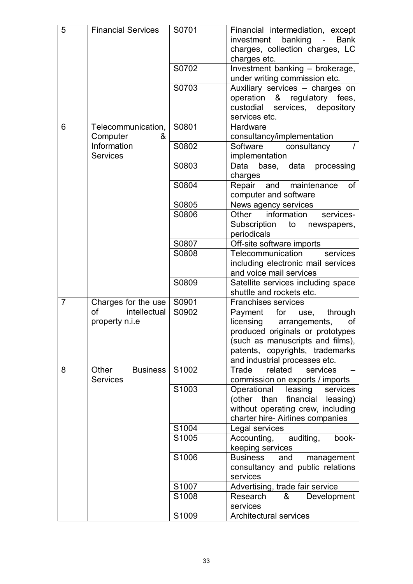| 5              | <b>Financial Services</b>                   | S0701 | Financial intermediation, except<br>investment banking -<br><b>Bank</b><br>charges, collection charges, LC<br>charges etc.                                                                                        |
|----------------|---------------------------------------------|-------|-------------------------------------------------------------------------------------------------------------------------------------------------------------------------------------------------------------------|
|                |                                             | S0702 | Investment banking - brokerage,<br>under writing commission etc.                                                                                                                                                  |
|                |                                             | S0703 | Auxiliary services - charges on<br>operation & regulatory fees,<br>custodial<br>services, depository<br>services etc.                                                                                             |
| 6              | Telecommunication,<br>Computer<br>&         | S0801 | Hardware<br>consultancy/implementation                                                                                                                                                                            |
|                | Information<br><b>Services</b>              | S0802 | Software<br>consultancy<br>implementation                                                                                                                                                                         |
|                |                                             | S0803 | data<br>Data<br>processing<br>base,<br>charges                                                                                                                                                                    |
|                |                                             | S0804 | Repair and maintenance<br>0f<br>computer and software                                                                                                                                                             |
|                |                                             | S0805 | News agency services                                                                                                                                                                                              |
|                |                                             | S0806 | information<br>Other<br>services-<br>Subscription<br>to<br>newspapers,<br>periodicals                                                                                                                             |
|                |                                             | S0807 | Off-site software imports                                                                                                                                                                                         |
|                |                                             | S0808 | Telecommunication<br>services                                                                                                                                                                                     |
|                |                                             |       | including electronic mail services<br>and voice mail services                                                                                                                                                     |
|                |                                             | S0809 | Satellite services including space<br>shuttle and rockets etc.                                                                                                                                                    |
| $\overline{7}$ | Charges for the use                         | S0901 | <b>Franchises services</b>                                                                                                                                                                                        |
|                | intellectual<br>οf<br>property n.i.e        | S0902 | for<br>Payment<br>through<br>use,<br>licensing<br>arrangements,<br>οf<br>produced originals or prototypes<br>(such as manuscripts and films),<br>patents, copyrights, trademarks<br>and industrial processes etc. |
| 8              | Other<br><b>Business</b><br><b>Services</b> | S1002 | related<br>Trade<br>services<br>commission on exports / imports                                                                                                                                                   |
|                |                                             | S1003 | Operational<br>leasing<br>services<br>financial<br>(other than<br>leasing)<br>without operating crew, including<br>charter hire- Airlines companies                                                               |
|                |                                             | S1004 | Legal services                                                                                                                                                                                                    |
|                |                                             | S1005 | auditing,<br>book-<br>Accounting,<br>keeping services                                                                                                                                                             |
|                |                                             | S1006 | <b>Business</b><br>management<br>and<br>consultancy and public relations<br>services                                                                                                                              |
|                |                                             | S1007 | Advertising, trade fair service                                                                                                                                                                                   |
|                |                                             | S1008 | Research<br>&<br>Development<br>services                                                                                                                                                                          |
|                |                                             | S1009 | <b>Architectural services</b>                                                                                                                                                                                     |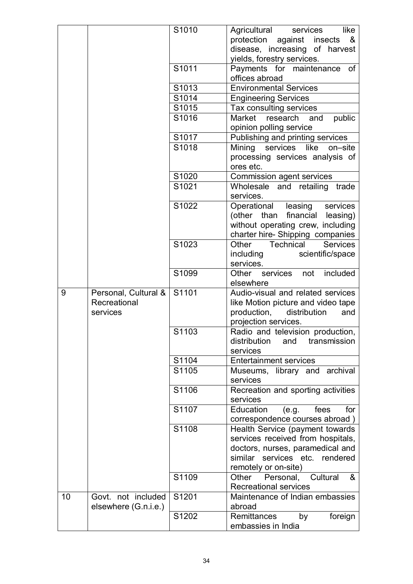|              |                      | S1010 | Agricultural<br>like<br>services                  |
|--------------|----------------------|-------|---------------------------------------------------|
|              |                      |       | protection against insects<br>&                   |
|              |                      |       | disease, increasing of harvest                    |
|              |                      |       | yields, forestry services.                        |
|              |                      | S1011 | Payments for maintenance<br>of                    |
|              |                      |       | offices abroad                                    |
|              |                      | S1013 | <b>Environmental Services</b>                     |
|              |                      | S1014 | <b>Engineering Services</b>                       |
|              |                      | S1015 | Tax consulting services                           |
|              |                      | S1016 | Market<br>research<br>public<br>and               |
|              |                      |       | opinion polling service                           |
|              |                      | S1017 | Publishing and printing services                  |
|              |                      | S1018 | Mining services like<br>on-site                   |
|              |                      |       | processing services analysis of                   |
|              |                      |       | ores etc.                                         |
|              |                      | S1020 | Commission agent services                         |
|              |                      | S1021 | Wholesale and retailing<br>trade<br>services.     |
|              |                      | S1022 | Operational leasing<br>services                   |
|              |                      |       | (other than financial leasing)                    |
|              |                      |       | without operating crew, including                 |
|              |                      |       | charter hire-Shipping companies                   |
|              |                      | S1023 | Other Technical<br><b>Services</b>                |
|              |                      |       | including<br>scientific/space                     |
|              |                      |       | services.                                         |
|              |                      | S1099 | Other<br>included<br>services<br>not<br>elsewhere |
| 9            | Personal, Cultural & | S1101 | Audio-visual and related services                 |
| Recreational |                      |       | like Motion picture and video tape                |
| services     |                      |       | production,<br>distribution<br>and                |
|              |                      |       | projection services.                              |
|              |                      | S1103 | Radio and television production,                  |
|              |                      |       | distribution<br>transmission<br>and               |
|              |                      |       | services                                          |
|              |                      | S1104 | <b>Entertainment services</b>                     |
|              |                      | S1105 | Museums, library and archival                     |
|              |                      |       | services                                          |
|              |                      | S1106 | Recreation and sporting activities                |
|              |                      |       | services                                          |
|              |                      | S1107 | Education<br>(e.g.<br>fees<br>for                 |
|              |                      |       | correspondence courses abroad)                    |
|              |                      | S1108 | Health Service (payment towards                   |
|              |                      |       | services received from hospitals,                 |
|              |                      |       | doctors, nurses, paramedical and                  |
|              |                      |       | similar services etc. rendered                    |
|              |                      |       |                                                   |
|              |                      |       | remotely or on-site)                              |
|              |                      | S1109 | Personal,<br>Cultural<br>Other<br>&               |
|              |                      |       | <b>Recreational services</b>                      |
| 10           | Govt. not included   | S1201 | Maintenance of Indian embassies                   |
|              | elsewhere (G.n.i.e.) | S1202 | abroad<br>Remittances<br>foreign<br>by            |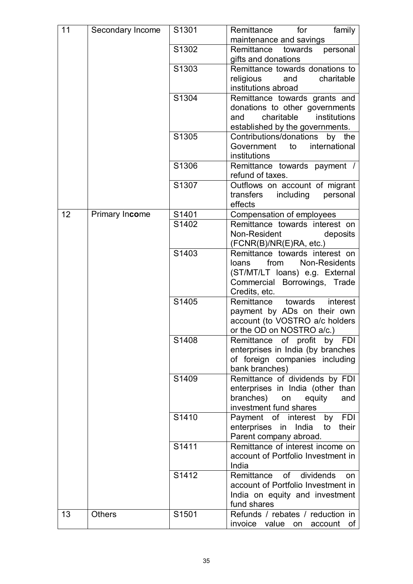| 11 | Secondary Income | S1301 | Remittance<br>family<br>for                              |
|----|------------------|-------|----------------------------------------------------------|
|    |                  |       | maintenance and savings                                  |
|    |                  | S1302 | Remittance<br>towards<br>personal<br>gifts and donations |
|    |                  | S1303 | Remittance towards donations to                          |
|    |                  |       | charitable<br>religious<br>and                           |
|    |                  |       | institutions abroad                                      |
|    |                  | S1304 | Remittance towards grants and                            |
|    |                  |       | donations to other governments                           |
|    |                  |       | institutions<br>charitable<br>and                        |
|    |                  |       | established by the governments.                          |
|    |                  | S1305 | Contributions/donations<br>by the                        |
|    |                  |       | international<br>Government<br>to                        |
|    |                  |       | institutions                                             |
|    |                  | S1306 | Remittance towards payment /                             |
|    |                  |       | refund of taxes.                                         |
|    |                  | S1307 | Outflows on account of migrant                           |
|    |                  |       | transfers<br>including<br>personal                       |
|    |                  |       | effects                                                  |
| 12 | Primary Income   | S1401 | Compensation of employees                                |
|    |                  | S1402 | Remittance towards interest on                           |
|    |                  |       | Non-Resident<br>deposits                                 |
|    |                  |       | (FCNR(B)/NR(E)RA, etc.)                                  |
|    |                  | S1403 | Remittance towards interest on                           |
|    |                  |       | from<br>Non-Residents<br>loans                           |
|    |                  |       | (ST/MT/LT loans) e.g. External                           |
|    |                  |       | Commercial Borrowings, Trade                             |
|    |                  |       | Credits, etc.                                            |
|    |                  | S1405 | Remittance<br>towards<br>interest                        |
|    |                  |       | payment by ADs on their own                              |
|    |                  |       | account (to VOSTRO a/c holders                           |
|    |                  |       | or the OD on NOSTRO a/c.)                                |
|    |                  | S1408 | Remittance of profit by FDI                              |
|    |                  |       | enterprises in India (by branches                        |
|    |                  |       | of foreign companies including                           |
|    |                  |       | bank branches)                                           |
|    |                  | S1409 | Remittance of dividends by FDI                           |
|    |                  |       | enterprises in India (other than                         |
|    |                  |       | branches)<br>on<br>equity<br>and                         |
|    |                  |       | investment fund shares                                   |
|    |                  | S1410 | Payment of interest<br>by FDI                            |
|    |                  |       | enterprises in India<br>their<br>to                      |
|    |                  |       | Parent company abroad.                                   |
|    |                  | S1411 | Remittance of interest income on                         |
|    |                  |       | account of Portfolio Investment in                       |
|    |                  |       | India                                                    |
|    |                  | S1412 | of dividends<br>Remittance<br>on                         |
|    |                  |       | account of Portfolio Investment in                       |
|    |                  |       | India on equity and investment                           |
| 13 |                  |       | fund shares                                              |
|    | <b>Others</b>    | S1501 | Refunds / rebates / reduction in                         |
|    |                  |       | invoice value on<br>$account$ of                         |